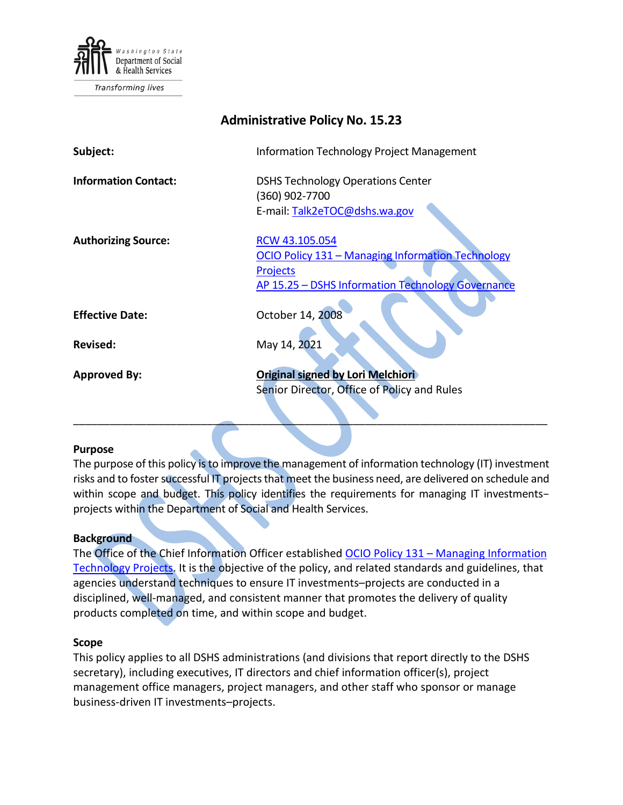

Transforming lives

| <b>Administrative Policy No. 15.23</b> |                                                                                                                                             |
|----------------------------------------|---------------------------------------------------------------------------------------------------------------------------------------------|
| Subject:                               | <b>Information Technology Project Management</b>                                                                                            |
| <b>Information Contact:</b>            | <b>DSHS Technology Operations Center</b><br>(360) 902-7700<br>E-mail: Talk2eTOC@dshs.wa.gov                                                 |
| <b>Authorizing Source:</b>             | RCW 43.105.054<br>OCIO Policy 131 - Managing Information Technology<br><b>Projects</b><br>AP 15.25 - DSHS Information Technology Governance |
| <b>Effective Date:</b>                 | October 14, 2008                                                                                                                            |
| <b>Revised:</b>                        | May 14, 2021                                                                                                                                |
| <b>Approved By:</b>                    | <b>Original signed by Lori Melchiori</b><br>Senior Director, Office of Policy and Rules                                                     |

#### **Purpose**

The purpose of this policy is to improve the management of information technology (IT) investment risks and to foster successful IT projects that meet the business need, are delivered on schedule and within scope and budget. This policy identifies the requirements for managing IT investmentsprojects within the Department of Social and Health Services.

 $\frac{1}{2}$  ,  $\frac{1}{2}$  ,  $\frac{1}{2}$  ,  $\frac{1}{2}$  ,  $\frac{1}{2}$  ,  $\frac{1}{2}$  ,  $\frac{1}{2}$  ,  $\frac{1}{2}$  ,  $\frac{1}{2}$  ,  $\frac{1}{2}$  ,  $\frac{1}{2}$  ,  $\frac{1}{2}$  ,  $\frac{1}{2}$  ,  $\frac{1}{2}$  ,  $\frac{1}{2}$  ,  $\frac{1}{2}$  ,  $\frac{1}{2}$  ,  $\frac{1}{2}$  ,  $\frac{1$ 

#### **Background**

The Office of the Chief Information Officer established OCIO Policy 131 - Managing Information [Technology Projects.](https://ocio.wa.gov/policy/managing-information-technology-projects) It is the objective of the policy, and related standards and guidelines, that agencies understand techniques to ensure IT investments–projects are conducted in a disciplined, well-managed, and consistent manner that promotes the delivery of quality products completed on time, and within scope and budget.

#### **Scope**

This policy applies to all DSHS administrations (and divisions that report directly to the DSHS secretary), including executives, IT directors and chief information officer(s), project management office managers, project managers, and other staff who sponsor or manage business-driven IT investments–projects.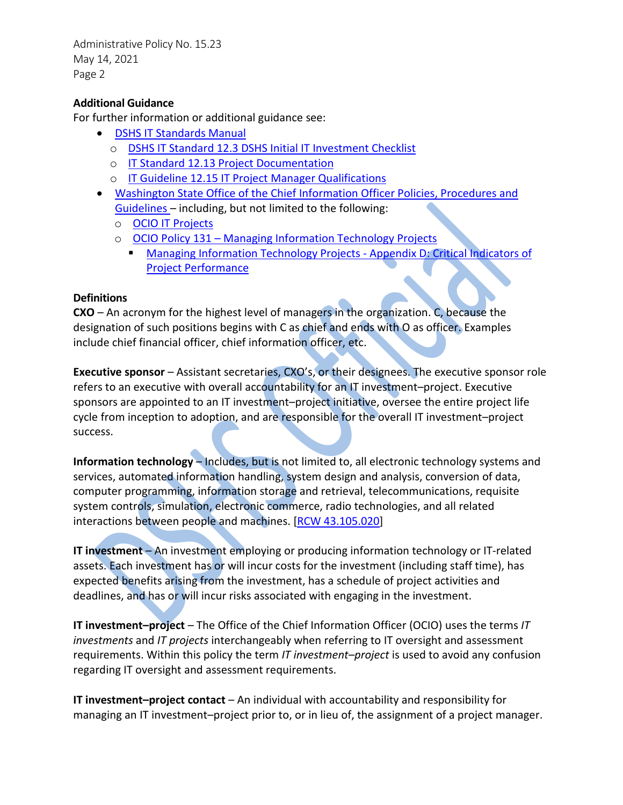Administrative Policy No. 15.23 May 14, 2021 Page 2

## **Additional Guidance**

For further information or additional guidance see:

- [DSHS IT Standards Manual](http://intra.dshs.wa.lcl/itstandards/index.stm)
	- o DSHS IT Standard 12.3 [DSHS Initial IT Investment Checklist](http://intra.dshs.wa.lcl/itstandards/resources/doc/ITStandard12.3.pdf)
	- o [IT Standard 12.13 Project Documentation](http://intra.dshs.wa.lcl/itstandards/resources/doc/ITStandard12.13.pdf)
	- o [IT Guideline 12.15 IT Project Manager Qualifications](http://intra.dshs.wa.lcl/itstandards/resources/doc/ITGuideline12.15.pdf)
- [Washington State Office of the Chief Information Officer Policies, Procedures and](https://ocio.wa.gov/policies)  [Guidelines](https://ocio.wa.gov/policies) – including, but not limited to the following:
	- o [OCIO IT Projects](https://ocio.wa.gov/programs/it-projects)
	- o OCIO Policy 131 [Managing Information Technology Projects](https://ocio.wa.gov/policy/managing-information-technology-projects)
		- **[Managing Information Technology Projects -](https://ocio.wa.gov/policy/critical-indicators-project-performance-131-appendix-d) Appendix D: Critical Indicators of** [Project Performance](https://ocio.wa.gov/policy/critical-indicators-project-performance-131-appendix-d)

## **Definitions**

**CXO** – An acronym for the highest level of managers in the organization. C, because the designation of such positions begins with C as chief and ends with O as officer. Examples include chief financial officer, chief information officer, etc.

**Executive sponsor** – Assistant secretaries, CXO's, or their designees. The executive sponsor role refers to an executive with overall accountability for an IT investment–project. Executive sponsors are appointed to an IT investment–project initiative, oversee the entire project life cycle from inception to adoption, and are responsible for the overall IT investment–project success.

**Information technology** – Includes, but is not limited to, all electronic technology systems and services, automated information handling, system design and analysis, conversion of data, computer programming, information storage and retrieval, telecommunications, requisite system controls, simulation, electronic commerce, radio technologies, and all related interactions between people and machines. [\[RCW 43.105.020\]](https://app.leg.wa.gov/RCW/default.aspx?cite=43.105.020)

**IT investment** – An investment employing or producing information technology or IT-related assets. Each investment has or will incur costs for the investment (including staff time), has expected benefits arising from the investment, has a schedule of project activities and deadlines, and has or will incur risks associated with engaging in the investment.

**IT investment–project** – The Office of the Chief Information Officer (OCIO) uses the terms *IT investments* and *IT projects* interchangeably when referring to IT oversight and assessment requirements. Within this policy the term *IT investment–project* is used to avoid any confusion regarding IT oversight and assessment requirements.

**IT investment–project contact** – An individual with accountability and responsibility for managing an IT investment–project prior to, or in lieu of, the assignment of a project manager.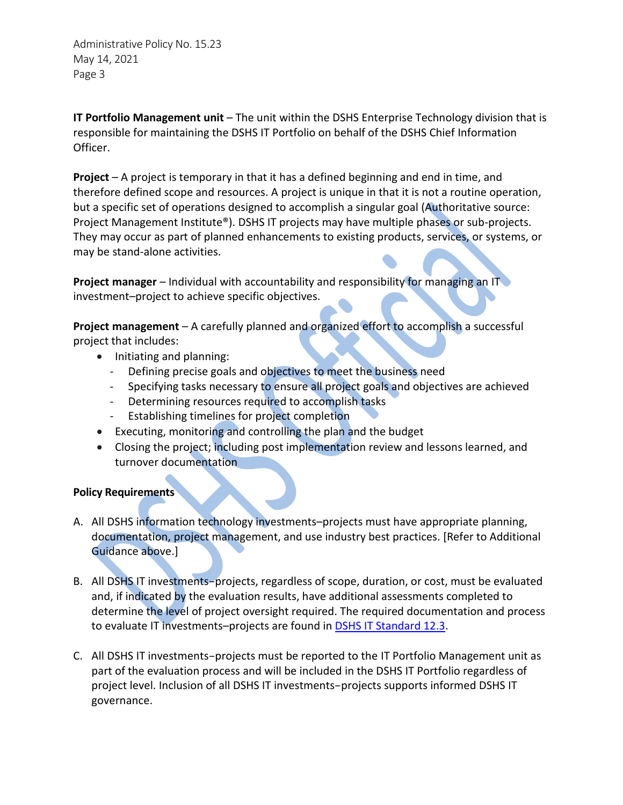Administrative Policy No. 15.23 May 14, 2021 Page 3

**IT Portfolio Management unit** – The unit within the DSHS Enterprise Technology division that is responsible for maintaining the DSHS IT Portfolio on behalf of the DSHS Chief Information Officer.

**Project** – A project is temporary in that it has a defined beginning and end in time, and therefore defined scope and resources. A project is unique in that it is not a routine operation, but a specific set of operations designed to accomplish a singular goal (Authoritative source: Project Management Institute®). DSHS IT projects may have multiple phases or sub-projects. They may occur as part of planned enhancements to existing products, services, or systems, or may be stand-alone activities.

**Project manager** – Individual with accountability and responsibility for managing an IT investment–project to achieve specific objectives.

**Project management** – A carefully planned and organized effort to accomplish a successful project that includes:

- Initiating and planning:
	- Defining precise goals and objectives to meet the business need
	- Specifying tasks necessary to ensure all project goals and objectives are achieved
	- Determining resources required to accomplish tasks
	- Establishing timelines for project completion
- Executing, monitoring and controlling the plan and the budget
- Closing the project; including post implementation review and lessons learned, and turnover documentation

## **Policy Requirements**

- A. All DSHS information technology investments–projects must have appropriate planning, documentation, project management, and use industry best practices. [Refer to Additional Guidance above.]
- B. All DSHS IT investments–projects, regardless of scope, duration, or cost, must be evaluated and, if indicated by the evaluation results, have additional assessments completed to determine the level of project oversight required. The required documentation and process to evaluate IT investments-projects are found in [DSHS IT Standard 12.3.](http://intra.dshs.wa.lcl/itstandards/resources/doc/ITStandard12.3.pdf)
- C. All DSHS IT investments–projects must be reported to the IT Portfolio Management unit as part of the evaluation process and will be included in the DSHS IT Portfolio regardless of project level. Inclusion of all DSHS IT investments–projects supports informed DSHS IT governance.